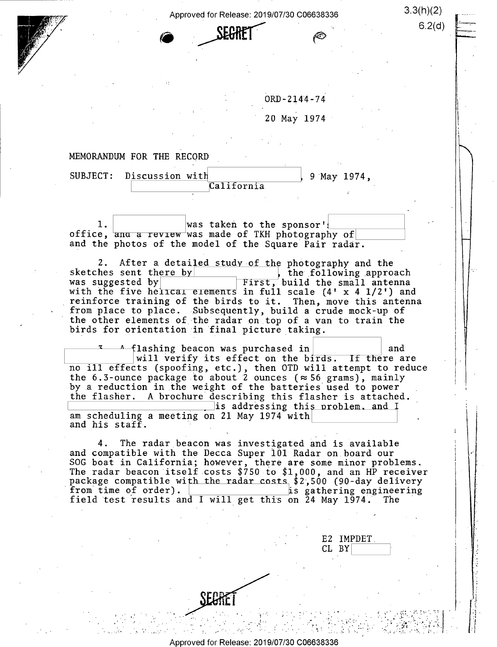Approved for Release: 2019/07/30 C06638336 3.3(h)(2)

 $\angle$ DEUTILI

. .

 $6.2$  (d)

\_

 $\bigcap$ 

 $\blacksquare$ 

a-

| $ORD - 2144 - 74$ |
|-------------------|
|                   |

ś.

<sup>20</sup>May 1974'

#### MEMORANDUM FOR THE RECORD

 $\sim$ 

SUBJECT: Discussion with<br>
California 9 May 1974,

..-.1- - -1!---= <sup>S</sup>

ries and the second contract of the second contract of the second contract of the second contract of the second

 $... \cdot$   $-$ 

.'-\_ -

, gives  $\mathcal{L}$ 

1,4'

 $1.$  Was taken to the sponsor' <u>lead</u> to the sponsort in the sponsort of  $\sigma$ and the photos of the model of the Square Pair radar.

2. After a detailed study of the photography and the<br>hes sent th<u>ere by secon the following</u> approach sketches sent there by  $\overline{y}$  the following approach was suggested by  $\overline{y}$  First, build the small antenna was suggested by interpretent by the small antenna with the five herical elements in full scale  $(4' \times 4 \frac{1}{2}')$  and reinforce training of the birds to it. Then, move this antenna from place to place. Subsequently, build a crude mock-up of the other elements of the radar on top of a van to train the birds for orientation in final picture taking.

flashing beacon was purchased in  $\vert$  and  $\vert$  and  $\vert$  and  $\vert$  will verify its effect on the birds. If there are no ill effects (spoofing, etc.), then OTD will attempt to reduce the 6.3-ounce package to about 2 ounces ( $\approx$  56 grams), mainly by a reduction in the weight of the batteries used to power the flasher. A brochure describing this flasher is attached.  $\Box$ is addressing this problem, and I am scheduling a meeting on 21 May 1974 with and his staff.

4. The radar beacon was investigated and is available and compatible with the Decca Super 101 Radar on board our SOG boat in California; however, there are some minor problems.<br>The radar beacon itself costs \$750 to \$1,000, and an HP receiver package compatible with the radar costs  $$2,500$  (90-day delivery<br>from time of order).<br>field test results and I will get this on 24 May 1974. The

 $\mathbf{v} = \mathbf{v}$  . The contract of the contract of the contract of the contract of the contract of the contract of the contract of the contract of the contract of the contract of the contract of the contract of the contrac

. The contract of the contract of the contract of the contract of the contract of the contract of the contract of the contract of the contract of the contract of the contract of the contract of the contract of the contrac

 $\mathbb{E} \left[ \mathbb{E} \left[ \mathbb{E} \left[ \mathbb{E} \left[ \mathbb{E} \left[ \mathbb{E} \left[ \mathbb{E} \left[ \mathbb{E} \left[ \mathbb{E} \left[ \mathbb{E} \left[ \mathbb{E} \left[ \mathbb{E} \left[ \mathbb{E} \left[ \mathbb{E} \left[ \mathbb{E} \left[ \mathbb{E} \left[ \mathbb{E} \left[ \mathbb{E} \left[ \mathbb{E} \left[ \mathbb{E} \left[ \mathbb{E} \left[ \mathbb{E} \left[ \mathbb{E} \left[ \mathbb{E} \left[ \mathbb{$ 

E2 IMPDET. CL BY

 $\mathcal{L} = \{ \mathcal{L} \in \mathcal{L} \mid \mathcal{L} \in \mathcal{L} \}$  . The contribution of  $\mathcal{L} = \{ \mathcal{L} \mid \mathcal{L} \in \mathcal{L} \}$ 

. And the set of the set of the set of the set of the set of the set of the set of the set of the set of the set of the set of the set of the set of the set of the set of the set of the set of the set of the set of the se

' . - - -\_-- - 1 <sup>v</sup>.' .

Approved for Release: 2019/07/30 C06638336

 $\mathcal{C}$  . The set of the set of the set of the set of the set of the set of the set of the set of the set of the set of the set of the set of the set of the set of the set of the set of the set of the set of the set of t

' .- -

rail i

. .' ; . \_ |

. 1, .~' \_ \_ ,

.\_\_. : \_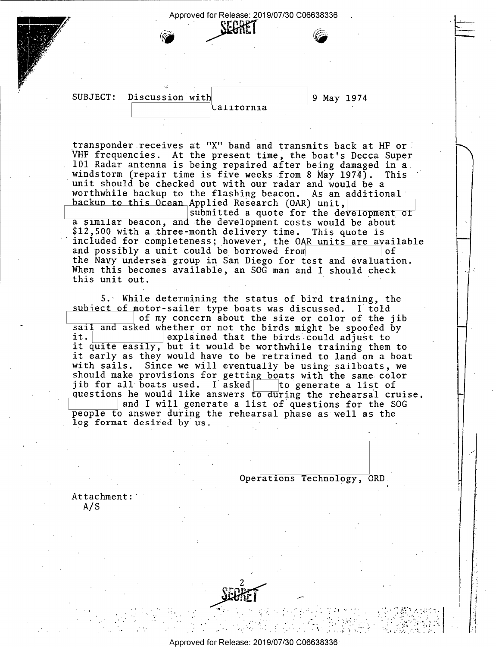#### Approved for Release: 2019/07/30 C06638336 .

SUBJECT: Discussion with<br>
California 9 May 1974

 $\sum_{i=1}^n$ 

 $\vdash$ 

 $\vdash\vdash$ 

 $\mathbf{I}$ 

r~

transponder receives at "X" band and transmits back at HF or VHF frequencies. At the present time, the boat's Decca Super 101 Radar antenna is being repaired after being damaged in a windstorm (repair time is five weeks from 8 May 1974). This unit should be checked out with our radar and would be a worthwhile backup to the flashing beacon. As an additional backup to this Ocean Applied Research (OAR) unit, and the development of submitted a quote for the development of

a similar beacon, and the development costs would be about \$12,500 with a three-month delivery time. This quote is included for completeness; however, the OAR units are available and possibly a unit could be borrowed from the Navy undersea group in San Diego for test and evaluation.<br>When this becomes available, an SOG man and I should check this unit out. ' -

5.' While determining the status of bird training, the<br>subject of motor-sailer type boats was discussed. I told<br>of my concern about the size or color of the jib<br>sail and asked whether or not the birds might be spoofed by it. explained that the birds could adjust to it quite easily, but it would be worthwhile training them to<br>it early as they would have to be retrained to land on a boat with sails. Since we will eventually be using sailboats, we should make provisions for getting boats with the same color jib for all boats used. I asked to generate a list of questions he would like answers to during the rehearsal cruise.<br>and I will generate a list of questions for the SOG people to answer during the rehearsal phase as well as the log format desired by us.

. Operations Technology, ORD.

I

' いっしょうしょ エコ・ティティー しょくい で 競り ど・カイト 小

. . \_ . .\_. - U 2-\_,\_,\_~ \_

' '

 $\ddot{\phantom{0}}$ . i'.

Attachment: A/S



. .

' '- -

' D' - :\_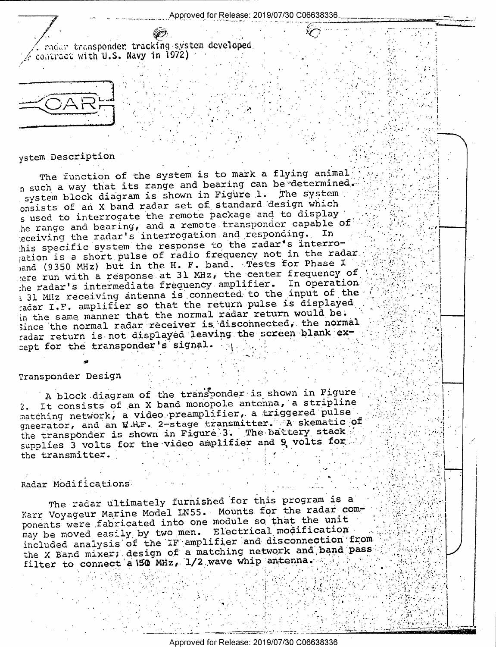ndar transponder tracking system developed, contract with U.S. Navy in 1972)

### ystem Description

The function of the system is to mark a flying animal n such a way that its range and bearing can be determined. system block diagram is shown in Figure 1. The system onsists of an X band radar set of standard design which s used to interrogate the remote package and to display he range and bearing, and a remote transponder capable of eceiving the radar's interrogation and responding. In his specific system the response to the radar's interroation is a short pulse of radio frequency not in the radar. )and (9350 MHz) but in the H. F. band. Tests for Phase I ere run with a response at 31 MHz, the center frequency of the radar's intermediate frequency amplifier. In operation i 31 MHz receiving antenna is connected to the input of the tadar I.F. amplifier so that the return pulse is displayed in the same manner that the normal radar return would be. Since the normal radar receiver is disconnected, the normal radar return is not displayed leaving the screen blank except for the transponder's signal.

#### Transponder Design

A block diagram of the transponder is shown in Figure It consists of an X band monopole antenna, a stripline  $2.$ matching network, a video preamplifier, a triggered pulse gneerator, and an W.H.F. 2-stage transmitter. A skematic of the transponder is shown in Figure 3. The battery stack supplies 3 volts for the video amplifier and 9 volts for the transmitter.

## Radar Modifications

The radar ultimately furnished for this program is a Karr Voyageur Marine Model LN55. Mounts for the radar components were fabricated into one module so that the unit may be moved easily by two men. Electrical modification included analysis of the IF amplifier and disconnection from the X Band mixer; design of a matching network and band pass filter to connect a 150 MHz, 1/2 wave whip antenna.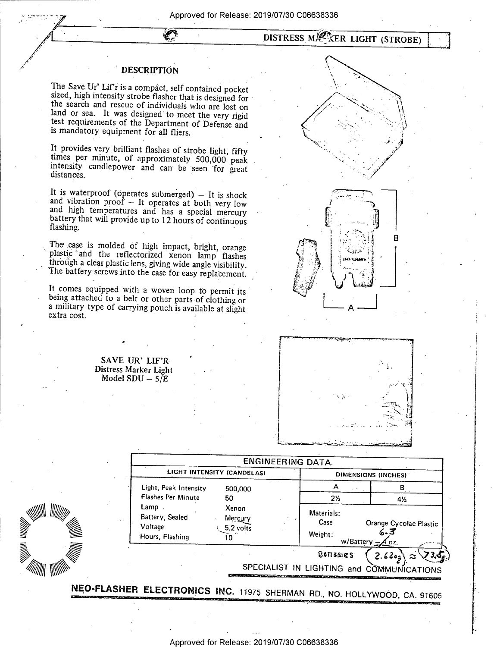# DISTRESS MANRE LIGHT (STROBE)

#### **DESCRIPTION**

Ø

The Save Ur' Lif'r is a compact, self contained pocket<br>sized, high intensity strobe flasher that is designed for<br>the search and rescue of individuals who are lost on<br>land or sea. It was designed to meet the very rigid<br>test is mandatory equipment for all fliers.

It provides very brilliant flashes of strobe light, fifty times per minute, of approximately 500,000 peak intensity candlepower and can be seen for great distances. intensity candlepower and can be seen for great

It is waterproof (operates submerged) — It is shock and vibration proof — It operates at both very low and high temperatures and has a special mercury battery that will provide up to 12 hours of continuous flashing. '

The case is molded of high impact, bright, orange plastic and the reflectorized xenon lamp flashes through a clear plastic lens, giving wide angle visibility. The battery screws into the case for easy replacement.

It comes equipped with a woven loop to permit its being attached to a belt or other parts of clothing or <sup>a</sup>military type of carrying pouch is available at slight extra cost.

 $\prime$   $\sim$   $\prime$ l and a mass of  $\mathbb{Z}$  . We are set  $\mathbb{N}$ 'Cl ~. . The interaction of  $\mathscr{P}$ -/:1 . . I

\_ f.





I

I. I

 $\ddot{\phantom{a}}$ II?

'-1

SAVE UR' LIF'R-Distress Marker Light Model  $SDU - 5/E$ 

/////// 2 ■ \\\\\\\



Approved for Release: 2019/07/30 C06638336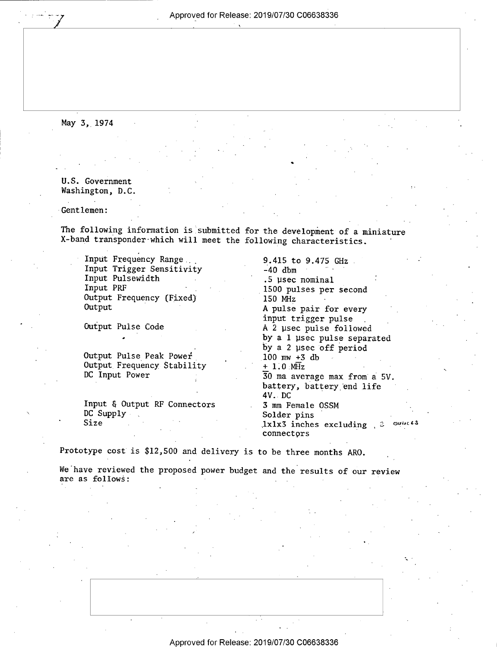\_ Approved for Release: 2019/07/30 C06638336

May 3, 1974

U.S. Government Washington, D.C.

Gentlemen:

The following information is submitted for the development of a miniature X-band transponder-which will meet the following characteristics.

Input Frequency Range 5.415 to 9.475 GHz Input Trigger Sensitivity 5.40 dbm Input Trigger Sensitivity Input Pulsewidth Input PRF Output Frequency (Fixed) 150 MHz Output

. '

Output Pulse Peak Power<br>
Output Frequency Stability  $+ 1.0 \text{ mW } +3$  db  $+ 1.0 \text{ mHz}$ Output Frequency Stability DC Input Power

Input & Output RF Connectors<br>DC Supply Size . ' '

.5 µsec nominal<br>1500 pulses per second A pulse pair for every input trigger pulse \_ Output Pulse Code A 2 usec pulse followed by a 1 usec pulse separated<br>by a 2 usec off period  $30$  ma average max from a 5V. battery, battery end\_life 4V. DC<br>3 mm Female OSSM Solder pins  $,1x1x3$  inches excluding  $, 3$  over  $**$ connectors

Prototype cost is \$12,500 and delivery is to be three months ARO. \_

'

We have reviewed the proposed power budget and the results of our review are as follows: ~ -